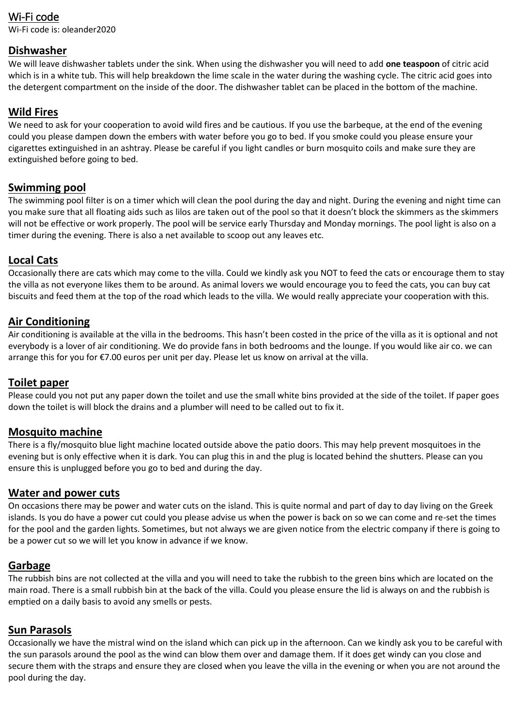# Wi-Fi code

Wi-Fi code is: oleander2020

#### **Dishwasher**

We will leave dishwasher tablets under the sink. When using the dishwasher you will need to add **one teaspoon** of citric acid which is in a white tub. This will help breakdown the lime scale in the water during the washing cycle. The citric acid goes into the detergent compartment on the inside of the door. The dishwasher tablet can be placed in the bottom of the machine.

# **Wild Fires**

We need to ask for your cooperation to avoid wild fires and be cautious. If you use the barbeque, at the end of the evening could you please dampen down the embers with water before you go to bed. If you smoke could you please ensure your cigarettes extinguished in an ashtray. Please be careful if you light candles or burn mosquito coils and make sure they are extinguished before going to bed.

### **Swimming pool**

The swimming pool filter is on a timer which will clean the pool during the day and night. During the evening and night time can you make sure that all floating aids such as lilos are taken out of the pool so that it doesn't block the skimmers as the skimmers will not be effective or work properly. The pool will be service early Thursday and Monday mornings. The pool light is also on a timer during the evening. There is also a net available to scoop out any leaves etc.

### **Local Cats**

Occasionally there are cats which may come to the villa. Could we kindly ask you NOT to feed the cats or encourage them to stay the villa as not everyone likes them to be around. As animal lovers we would encourage you to feed the cats, you can buy cat biscuits and feed them at the top of the road which leads to the villa. We would really appreciate your cooperation with this.

### **Air Conditioning**

Air conditioning is available at the villa in the bedrooms. This hasn't been costed in the price of the villa as it is optional and not everybody is a lover of air conditioning. We do provide fans in both bedrooms and the lounge. If you would like air co. we can arrange this for you for €7.00 euros per unit per day. Please let us know on arrival at the villa.

### **Toilet paper**

Please could you not put any paper down the toilet and use the small white bins provided at the side of the toilet. If paper goes down the toilet is will block the drains and a plumber will need to be called out to fix it.

### **Mosquito machine**

There is a fly/mosquito blue light machine located outside above the patio doors. This may help prevent mosquitoes in the evening but is only effective when it is dark. You can plug this in and the plug is located behind the shutters. Please can you ensure this is unplugged before you go to bed and during the day.

#### **Water and power cuts**

On occasions there may be power and water cuts on the island. This is quite normal and part of day to day living on the Greek islands. Is you do have a power cut could you please advise us when the power is back on so we can come and re-set the times for the pool and the garden lights. Sometimes, but not always we are given notice from the electric company if there is going to be a power cut so we will let you know in advance if we know.

### **Garbage**

The rubbish bins are not collected at the villa and you will need to take the rubbish to the green bins which are located on the main road. There is a small rubbish bin at the back of the villa. Could you please ensure the lid is always on and the rubbish is emptied on a daily basis to avoid any smells or pests.

### **Sun Parasols**

Occasionally we have the mistral wind on the island which can pick up in the afternoon. Can we kindly ask you to be careful with the sun parasols around the pool as the wind can blow them over and damage them. If it does get windy can you close and secure them with the straps and ensure they are closed when you leave the villa in the evening or when you are not around the pool during the day.